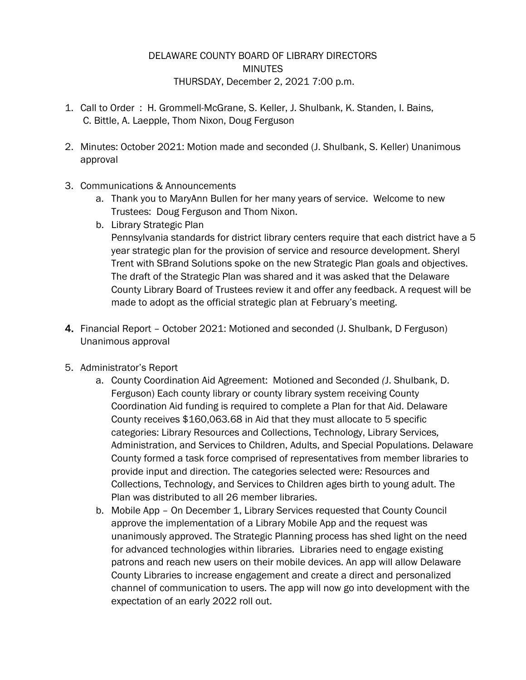## DELAWARE COUNTY BOARD OF LIBRARY DIRECTORS MINUTES THURSDAY, December 2, 2021 7:00 p.m.

- 1. Call to Order : H. Grommell-McGrane, S. Keller, J. Shulbank, K. Standen, I. Bains, C. Bittle, A. Laepple, Thom Nixon, Doug Ferguson
- 2. Minutes: October 2021: Motion made and seconded (J. Shulbank, S. Keller) Unanimous approval
- 3. Communications & Announcements
	- a. Thank you to MaryAnn Bullen for her many years of service. Welcome to new Trustees: Doug Ferguson and Thom Nixon.
	- b. Library Strategic Plan

Pennsylvania standards for district library centers require that each district have a 5 year strategic plan for the provision of service and resource development. Sheryl Trent with SBrand Solutions spoke on the new Strategic Plan goals and objectives. The draft of the Strategic Plan was shared and it was asked that the Delaware County Library Board of Trustees review it and offer any feedback. A request will be made to adopt as the official strategic plan at February's meeting.

- 4. Financial Report October 2021: Motioned and seconded (J. Shulbank, D Ferguson) Unanimous approval
- 5. Administrator's Report
	- a. County Coordination Aid Agreement: Motioned and Seconded *(*J. Shulbank, D. Ferguson) Each county library or county library system receiving County Coordination Aid funding is required to complete a Plan for that Aid. Delaware County receives \$160,063*.*68 in Aid that they must allocate to 5 specific categories: Library Resources and Collections, Technology, Library Services*,*  Administration, and Services to Children, Adults, and Special Populations. Delaware County formed a task force comprised of representatives from member libraries to provide input and direction*.* The categories selected were*:* Resources and Collections, Technology, and Services to Children ages birth to young adult. The Plan was distributed to all 26 member libraries.
	- b. Mobile App On December 1, Library Services requested that County Council approve the implementation of a Library Mobile App and the request was unanimously approved. The Strategic Planning process has shed light on the need for advanced technologies within libraries. Libraries need to engage existing patrons and reach new users on their mobile devices. An app will allow Delaware County Libraries to increase engagement and create a direct and personalized channel of communication to users. The app will now go into development with the expectation of an early 2022 roll out.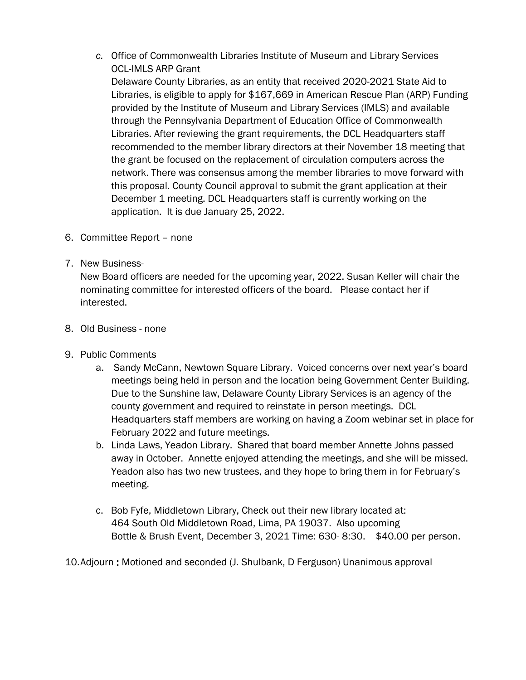*c.* Office of Commonwealth Libraries Institute of Museum and Library Services OCL-IMLS ARP Grant

Delaware County Libraries, as an entity that received 2020-2021 State Aid to Libraries, is eligible to apply for \$167,669 in American Rescue Plan (ARP) Funding provided by the Institute of Museum and Library Services (IMLS) and available through the Pennsylvania Department of Education Office of Commonwealth Libraries. After reviewing the grant requirements, the DCL Headquarters staff recommended to the member library directors at their November 18 meeting that the grant be focused on the replacement of circulation computers across the network. There was consensus among the member libraries to move forward with this proposal. County Council approval to submit the grant application at their December 1 meeting. DCL Headquarters staff is currently working on the application. It is due January 25, 2022.

- 6. Committee Report none
- 7. New Business-

New Board officers are needed for the upcoming year, 2022. Susan Keller will chair the nominating committee for interested officers of the board. Please contact her if interested.

- 8. Old Business none
- 9. Public Comments
	- a. Sandy McCann, Newtown Square Library. Voiced concerns over next year's board meetings being held in person and the location being Government Center Building. Due to the Sunshine law, Delaware County Library Services is an agency of the county government and required to reinstate in person meetings. DCL Headquarters staff members are working on having a Zoom webinar set in place for February 2022 and future meetings.
	- b. Linda Laws, Yeadon Library. Shared that board member Annette Johns passed away in October. Annette enjoyed attending the meetings, and she will be missed. Yeadon also has two new trustees, and they hope to bring them in for February's meeting.
	- c. Bob Fyfe, Middletown Library, Check out their new library located at: 464 South Old Middletown Road, Lima, PA 19037. Also upcoming Bottle & Brush Event, December 3, 2021 Time: 630- 8:30. \$40.00 per person.

10.Adjourn : Motioned and seconded (J. Shulbank, D Ferguson) Unanimous approval